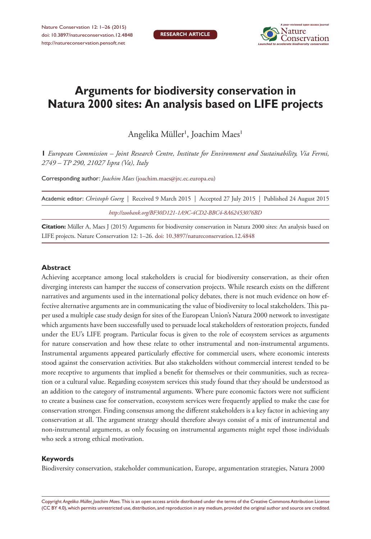Nature Conservation 12: 1–26 (2015) [doi: 10.3897/natureconservation.12.4848](http://dx.doi.org/10.3897/natureconservation.12.4848) <http://natureconservation.pensoft.net>



# **Arguments for biodiversity conservation in Natura 2000 sites: An analysis based on LIFE projects**

Angelika Müller', Joachim Maes'

**1** *European Commission – Joint Research Centre, Institute for Environment and Sustainability, Via Fermi, 2749 – TP 290, 21027 Ispra (Va), Italy*

Corresponding author: *Joachim Maes* ([joachim.maes@jrc.ec.europa.eu\)](mailto:joachim.maes@jrc.ec.europa.eu)

| Academic editor: Christoph Goerg   Received 9 March 2015   Accepted 27 July 2015   Published 24 August 2015 |  |
|-------------------------------------------------------------------------------------------------------------|--|
| http://zoobank.org/BF30D121-1A9C-4CD2-BBC4-8A62453076BD                                                     |  |

**Citation:** Müller A, Maes J (2015) Arguments for biodiversity conservation in Natura 2000 sites: An analysis based on LIFE projects. Nature Conservation 12: 1–26. [doi: 10.3897/natureconservation.12.4848](http://dx.doi.org/10.3897/natureconservation.12.4848)

#### **Abstract**

Achieving acceptance among local stakeholders is crucial for biodiversity conservation, as their often diverging interests can hamper the success of conservation projects. While research exists on the different narratives and arguments used in the international policy debates, there is not much evidence on how effective alternative arguments are in communicating the value of biodiversity to local stakeholders. This paper used a multiple case study design for sites of the European Union's Natura 2000 network to investigate which arguments have been successfully used to persuade local stakeholders of restoration projects, funded under the EU's LIFE program. Particular focus is given to the role of ecosystem services as arguments for nature conservation and how these relate to other instrumental and non-instrumental arguments. Instrumental arguments appeared particularly effective for commercial users, where economic interests stood against the conservation activities. But also stakeholders without commercial interest tended to be more receptive to arguments that implied a benefit for themselves or their communities, such as recreation or a cultural value. Regarding ecosystem services this study found that they should be understood as an addition to the category of instrumental arguments. Where pure economic factors were not sufficient to create a business case for conservation, ecosystem services were frequently applied to make the case for conservation stronger. Finding consensus among the different stakeholders is a key factor in achieving any conservation at all. The argument strategy should therefore always consist of a mix of instrumental and non-instrumental arguments, as only focusing on instrumental arguments might repel those individuals who seek a strong ethical motivation.

#### **Keywords**

Biodiversity conservation, stakeholder communication, Europe, argumentation strategies, Natura 2000

Copyright *Angelika Müller, Joachim Maes.* This is an open access article distributed under the terms of the [Creative Commons Attribution License](http://creativecommons.org/licenses/by/4.0/)  [\(CC BY 4.0\)](http://creativecommons.org/licenses/by/4.0/), which permits unrestricted use, distribution, and reproduction in any medium, provided the original author and source are credited.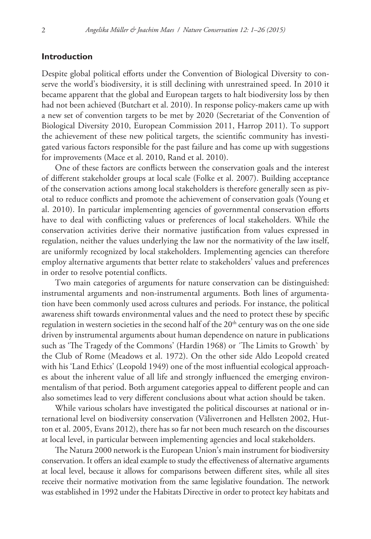## **Introduction**

Despite global political efforts under the Convention of Biological Diversity to conserve the world's biodiversity, it is still declining with unrestrained speed. In 2010 it became apparent that the global and European targets to halt biodiversity loss by then had not been achieved (Butchart et al. 2010). In response policy-makers came up with a new set of convention targets to be met by 2020 (Secretariat of the Convention of Biological Diversity 2010, European Commission 2011, Harrop 2011). To support the achievement of these new political targets, the scientific community has investigated various factors responsible for the past failure and has come up with suggestions for improvements (Mace et al. 2010, Rand et al. 2010).

One of these factors are conflicts between the conservation goals and the interest of different stakeholder groups at local scale (Folke et al. 2007). Building acceptance of the conservation actions among local stakeholders is therefore generally seen as pivotal to reduce conflicts and promote the achievement of conservation goals (Young et al. 2010). In particular implementing agencies of governmental conservation efforts have to deal with conflicting values or preferences of local stakeholders. While the conservation activities derive their normative justification from values expressed in regulation, neither the values underlying the law nor the normativity of the law itself, are uniformly recognized by local stakeholders. Implementing agencies can therefore employ alternative arguments that better relate to stakeholders' values and preferences in order to resolve potential conflicts.

Two main categories of arguments for nature conservation can be distinguished: instrumental arguments and non-instrumental arguments. Both lines of argumentation have been commonly used across cultures and periods. For instance, the political awareness shift towards environmental values and the need to protect these by specific regulation in western societies in the second half of the  $20<sup>th</sup>$  century was on the one side driven by instrumental arguments about human dependence on nature in publications such as 'The Tragedy of the Commons' (Hardin 1968) or ´The Limits to Growth` by the Club of Rome (Meadows et al. 1972). On the other side Aldo Leopold created with his 'Land Ethics' (Leopold 1949) one of the most influential ecological approaches about the inherent value of all life and strongly influenced the emerging environmentalism of that period. Both argument categories appeal to different people and can also sometimes lead to very different conclusions about what action should be taken.

While various scholars have investigated the political discourses at national or international level on biodiversity conservation (Väliverronen and Hellsten 2002, Hutton et al. 2005, Evans 2012), there has so far not been much research on the discourses at local level, in particular between implementing agencies and local stakeholders.

The Natura 2000 network is the European Union's main instrument for biodiversity conservation. It offers an ideal example to study the effectiveness of alternative arguments at local level, because it allows for comparisons between different sites, while all sites receive their normative motivation from the same legislative foundation. The network was established in 1992 under the Habitats Directive in order to protect key habitats and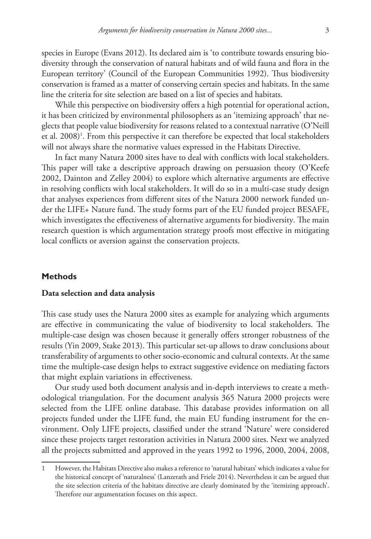species in Europe (Evans 2012). Its declared aim is 'to contribute towards ensuring biodiversity through the conservation of natural habitats and of wild fauna and flora in the European territory' (Council of the European Communities 1992). Thus biodiversity conservation is framed as a matter of conserving certain species and habitats. In the same line the criteria for site selection are based on a list of species and habitats.

While this perspective on biodiversity offers a high potential for operational action, it has been criticized by environmental philosophers as an 'itemizing approach' that neglects that people value biodiversity for reasons related to a contextual narrative (O'Neill et al. 2008)<sup>1</sup>. From this perspective it can therefore be expected that local stakeholders will not always share the normative values expressed in the Habitats Directive.

In fact many Natura 2000 sites have to deal with conflicts with local stakeholders. This paper will take a descriptive approach drawing on persuasion theory (O'Keefe 2002, Dainton and Zelley 2004) to explore which alternative arguments are effective in resolving conflicts with local stakeholders. It will do so in a multi-case study design that analyses experiences from different sites of the Natura 2000 network funded under the LIFE+ Nature fund. The study forms part of the EU funded project BESAFE, which investigates the effectiveness of alternative arguments for biodiversity. The main research question is which argumentation strategy proofs most effective in mitigating local conflicts or aversion against the conservation projects.

## **Methods**

#### **Data selection and data analysis**

This case study uses the Natura 2000 sites as example for analyzing which arguments are effective in communicating the value of biodiversity to local stakeholders. The multiple-case design was chosen because it generally offers stronger robustness of the results (Yin 2009, Stake 2013). This particular set-up allows to draw conclusions about transferability of arguments to other socio-economic and cultural contexts. At the same time the multiple-case design helps to extract suggestive evidence on mediating factors that might explain variations in effectiveness.

Our study used both document analysis and in-depth interviews to create a methodological triangulation. For the document analysis 365 Natura 2000 projects were selected from the LIFE online database. This database provides information on all projects funded under the LIFE fund, the main EU funding instrument for the environment. Only LIFE projects, classified under the strand 'Nature' were considered since these projects target restoration activities in Natura 2000 sites. Next we analyzed all the projects submitted and approved in the years 1992 to 1996, 2000, 2004, 2008,

<sup>1</sup> However, the Habitats Directive also makes a reference to 'natural habitats' which indicates a value for the historical concept of 'naturalness' (Lanzerath and Friele 2014). Nevertheless it can be argued that the site selection criteria of the habitats directive are clearly dominated by the 'itemizing approach'. Therefore our argumentation focuses on this aspect.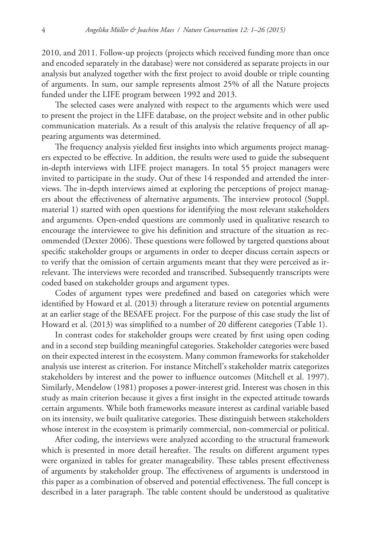2010, and 2011. Follow-up projects (projects which received funding more than once and encoded separately in the database) were not considered as separate projects in our analysis but analyzed together with the first project to avoid double or triple counting of arguments. In sum, our sample represents almost 25% of all the Nature projects funded under the LIFE program between 1992 and 2013.

The selected cases were analyzed with respect to the arguments which were used to present the project in the LIFE database, on the project website and in other public communication materials. As a result of this analysis the relative frequency of all appearing arguments was determined.

The frequency analysis yielded first insights into which arguments project managers expected to be effective. In addition, the results were used to guide the subsequent in-depth interviews with LIFE project managers. In total 55 project managers were invited to participate in the study. Out of these 14 responded and attended the interviews. The in-depth interviews aimed at exploring the perceptions of project managers about the effectiveness of alternative arguments. The interview protocol (Suppl. material 1) started with open questions for identifying the most relevant stakeholders and arguments. Open-ended questions are commonly used in qualitative research to encourage the interviewee to give his definition and structure of the situation as recommended (Dexter 2006). These questions were followed by targeted questions about specific stakeholder groups or arguments in order to deeper discuss certain aspects or to verify that the omission of certain arguments meant that they were perceived as irrelevant. The interviews were recorded and transcribed. Subsequently transcripts were coded based on stakeholder groups and argument types.

Codes of argument types were predefined and based on categories which were identified by Howard et al. (2013) through a literature review on potential arguments at an earlier stage of the BESAFE project. For the purpose of this case study the list of Howard et al. (2013) was simplified to a number of 20 different categories (Table 1).

In contrast codes for stakeholder groups were created by first using open coding and in a second step building meaningful categories. Stakeholder categories were based on their expected interest in the ecosystem. Many common frameworks for stakeholder analysis use interest as criterion. For instance Mitchell's stakeholder matrix categorizes stakeholders by interest and the power to influence outcomes (Mitchell et al. 1997). Similarly, Mendelow (1981) proposes a power-interest grid. Interest was chosen in this study as main criterion because it gives a first insight in the expected attitude towards certain arguments. While both frameworks measure interest as cardinal variable based on its intensity, we built qualitative categories. These distinguish between stakeholders whose interest in the ecosystem is primarily commercial, non-commercial or political.

After coding, the interviews were analyzed according to the structural framework which is presented in more detail hereafter. The results on different argument types were organized in tables for greater manageability. These tables present effectiveness of arguments by stakeholder group. The effectiveness of arguments is understood in this paper as a combination of observed and potential effectiveness. The full concept is described in a later paragraph. The table content should be understood as qualitative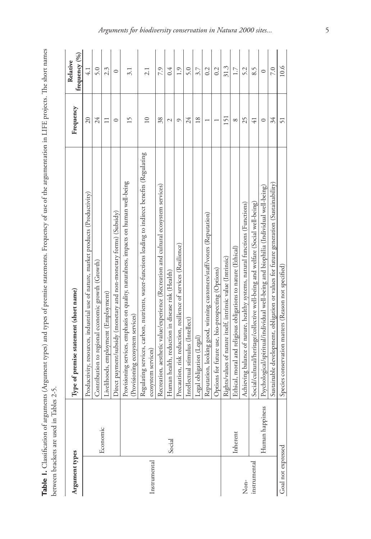Table 1. Classification of arguments (Argument types) and types of premise statements. Frequency of use of the argumentation in LIFE projects. The short names **Table 1.** Classification of arguments (Argument types) and types of premise statements. Frequency of use of the argumentation in LIFE projects. The short names between brackets are used in Tables 2-5. between brackets are used in Tables 2-5.

| Argument types     |                 | Type of premise statement (short name)                                                                                    | Frequency       | frequency (%)<br>Relative  |
|--------------------|-----------------|---------------------------------------------------------------------------------------------------------------------------|-----------------|----------------------------|
|                    |                 | Productivity, resources, industrial use of nature, market products (Productivity)                                         | 20              | 4.1                        |
|                    |                 | Contribution to regional economic growth (Growth)                                                                         | 24              | 5.0                        |
|                    | Economic        | Livelihoods, employment (Employment)                                                                                      | $\Box$          | 2.3                        |
|                    |                 | Direct payment/subsidy (monetary and non-monetary forms) (Subsidy)                                                        | $\circ$         | $\circ$                    |
|                    |                 | Provisioning services, emphasis on quality, naturalness, impacts on human well-being<br>(Provisioning ecosystem services) | $\overline{15}$ | 3.1                        |
| Instrumental       |                 | Regulating services, carbon, nutrients, water-functions leading to indirect benefits (Regulating<br>ecosystem services)   | $\overline{10}$ | 2.1                        |
|                    |                 | Recreation, aesthetic value/experience (Recreation and cultural ecosystem services)                                       | 38              | 7.9                        |
|                    | Social          | Human health, reduction in disease risk (Health)                                                                          | $\mathcal{L}$   | 0.4                        |
|                    |                 | Precaution, risk reduction, resilience of services (Resilience)                                                           | G               | 1.9                        |
|                    |                 | Intellectual stimulus (Intellect)                                                                                         | 24              | 5.0                        |
|                    |                 | Legal obligation (Legal)                                                                                                  | 18              | r<br>$\tilde{\mathcal{E}}$ |
|                    |                 | Reputation, looking good, winning customers/staff/voters (Reputation)                                                     |                 | 0.2                        |
|                    |                 | Options for future use, bio-prospecting (Options)                                                                         |                 | 0.2                        |
|                    |                 | Rights/values of nature itself, intrinsic value (Intrinsic)                                                               | 151             | 31.3                       |
|                    | Inherent        | Ethical, moral and religious obligations to nature (Ethical)                                                              | $\infty$        | 1.7                        |
| Non-               |                 | Achieving balance of nature, healthy systems, natural functions (Functions)                                               | 25              | 5.2                        |
| instrumenta        |                 | Social/cultural/heritage/collective well-being and welfare (Social well-being)                                            | $\overline{41}$ | 8.5                        |
|                    | Human happiness | Psychological/spiritual/individual well-being and biophilia (Individual well-being)                                       | $\circ$         | $\circ$                    |
|                    |                 | Sustainable development, obligation or values for future generation (Sustainability)                                      | 34              | 7.0                        |
| Goal not expressed |                 | Species conservation matters (Reason not specified)                                                                       | 51              | 10.6                       |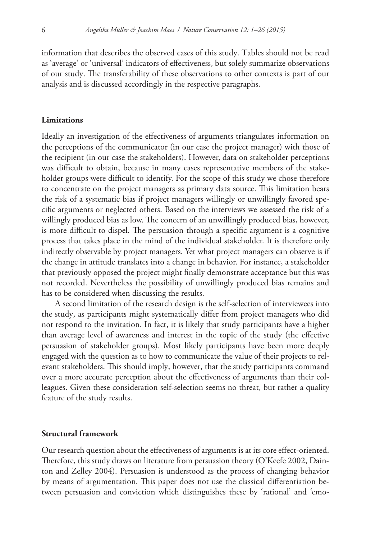information that describes the observed cases of this study. Tables should not be read as 'average' or 'universal' indicators of effectiveness, but solely summarize observations of our study. The transferability of these observations to other contexts is part of our analysis and is discussed accordingly in the respective paragraphs.

#### **Limitations**

Ideally an investigation of the effectiveness of arguments triangulates information on the perceptions of the communicator (in our case the project manager) with those of the recipient (in our case the stakeholders). However, data on stakeholder perceptions was difficult to obtain, because in many cases representative members of the stakeholder groups were difficult to identify. For the scope of this study we chose therefore to concentrate on the project managers as primary data source. This limitation bears the risk of a systematic bias if project managers willingly or unwillingly favored specific arguments or neglected others. Based on the interviews we assessed the risk of a willingly produced bias as low. The concern of an unwillingly produced bias, however, is more difficult to dispel. The persuasion through a specific argument is a cognitive process that takes place in the mind of the individual stakeholder. It is therefore only indirectly observable by project managers. Yet what project managers can observe is if the change in attitude translates into a change in behavior. For instance, a stakeholder that previously opposed the project might finally demonstrate acceptance but this was not recorded. Nevertheless the possibility of unwillingly produced bias remains and has to be considered when discussing the results.

A second limitation of the research design is the self-selection of interviewees into the study, as participants might systematically differ from project managers who did not respond to the invitation. In fact, it is likely that study participants have a higher than average level of awareness and interest in the topic of the study (the effective persuasion of stakeholder groups). Most likely participants have been more deeply engaged with the question as to how to communicate the value of their projects to relevant stakeholders. This should imply, however, that the study participants command over a more accurate perception about the effectiveness of arguments than their colleagues. Given these consideration self-selection seems no threat, but rather a quality feature of the study results.

# **Structural framework**

Our research question about the effectiveness of arguments is at its core effect-oriented. Therefore, this study draws on literature from persuasion theory (O'Keefe 2002, Dainton and Zelley 2004). Persuasion is understood as the process of changing behavior by means of argumentation. This paper does not use the classical differentiation between persuasion and conviction which distinguishes these by 'rational' and 'emo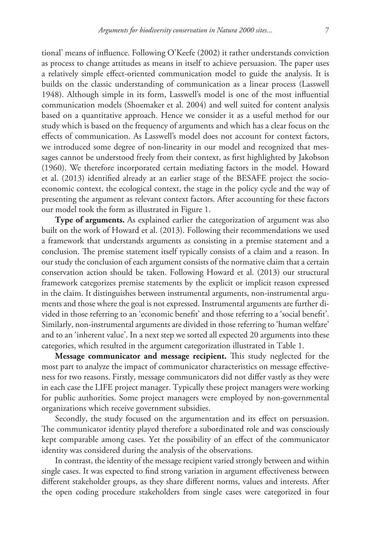tional' means of influence. Following O'Keefe (2002) it rather understands conviction as process to change attitudes as means in itself to achieve persuasion. The paper uses a relatively simple effect-oriented communication model to guide the analysis. It is builds on the classic understanding of communication as a linear process (Lasswell 1948). Although simple in its form, Lasswell's model is one of the most influential communication models (Shoemaker et al. 2004) and well suited for content analysis based on a quantitative approach. Hence we consider it as a useful method for our study which is based on the frequency of arguments and which has a clear focus on the effects of communication. As Lasswell's model does not account for context factors, we introduced some degree of non-linearity in our model and recognized that messages cannot be understood freely from their context, as first highlighted by Jakobson (1960). We therefore incorporated certain mediating factors in the model. Howard et al. (2013) identified already at an earlier stage of the BESAFE project the socioeconomic context, the ecological context, the stage in the policy cycle and the way of presenting the argument as relevant context factors. After accounting for these factors our model took the form as illustrated in Figure 1.

**Type of arguments.** As explained earlier the categorization of argument was also built on the work of Howard et al. (2013). Following their recommendations we used a framework that understands arguments as consisting in a premise statement and a conclusion. The premise statement itself typically consists of a claim and a reason. In our study the conclusion of each argument consists of the normative claim that a certain conservation action should be taken. Following Howard et al. (2013) our structural framework categorizes premise statements by the explicit or implicit reason expressed in the claim. It distinguishes between instrumental arguments, non-instrumental arguments and those where the goal is not expressed. Instrumental arguments are further divided in those referring to an 'economic benefit' and those referring to a 'social benefit'. Similarly, non-instrumental arguments are divided in those referring to 'human welfare' and to an 'inherent value'. In a next step we sorted all expected 20 arguments into these categories, which resulted in the argument categorization illustrated in Table 1.

**Message communicator and message recipient.** This study neglected for the most part to analyze the impact of communicator characteristics on message effectiveness for two reasons. Firstly, message communicators did not differ vastly as they were in each case the LIFE project manager. Typically these project managers were working for public authorities. Some project managers were employed by non-governmental organizations which receive government subsidies.

Secondly, the study focused on the argumentation and its effect on persuasion. The communicator identity played therefore a subordinated role and was consciously kept comparable among cases. Yet the possibility of an effect of the communicator identity was considered during the analysis of the observations.

In contrast, the identity of the message recipient varied strongly between and within single cases. It was expected to find strong variation in argument effectiveness between different stakeholder groups, as they share different norms, values and interests. After the open coding procedure stakeholders from single cases were categorized in four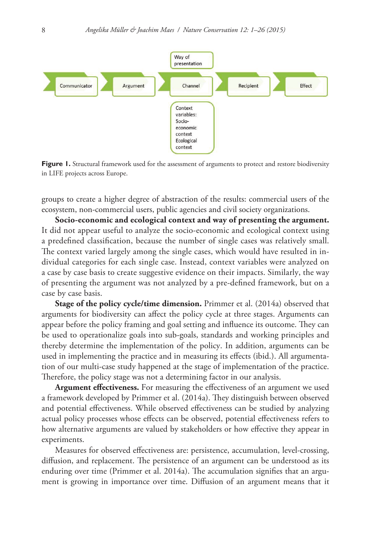

**Figure 1.** Structural framework used for the assessment of arguments to protect and restore biodiversity in LIFE projects across Europe.

groups to create a higher degree of abstraction of the results: commercial users of the ecosystem, non-commercial users, public agencies and civil society organizations.

**Socio-economic and ecological context and way of presenting the argument.**  It did not appear useful to analyze the socio-economic and ecological context using a predefined classification, because the number of single cases was relatively small. The context varied largely among the single cases, which would have resulted in individual categories for each single case. Instead, context variables were analyzed on a case by case basis to create suggestive evidence on their impacts. Similarly, the way of presenting the argument was not analyzed by a pre-defined framework, but on a case by case basis.

**Stage of the policy cycle/time dimension.** Primmer et al. (2014a) observed that arguments for biodiversity can affect the policy cycle at three stages. Arguments can appear before the policy framing and goal setting and influence its outcome. They can be used to operationalize goals into sub-goals, standards and working principles and thereby determine the implementation of the policy. In addition, arguments can be used in implementing the practice and in measuring its effects (ibid.). All argumentation of our multi-case study happened at the stage of implementation of the practice. Therefore, the policy stage was not a determining factor in our analysis.

**Argument effectiveness.** For measuring the effectiveness of an argument we used a framework developed by Primmer et al. (2014a). They distinguish between observed and potential effectiveness. While observed effectiveness can be studied by analyzing actual policy processes whose effects can be observed, potential effectiveness refers to how alternative arguments are valued by stakeholders or how effective they appear in experiments.

Measures for observed effectiveness are: persistence, accumulation, level-crossing, diffusion, and replacement. The persistence of an argument can be understood as its enduring over time (Primmer et al. 2014a). The accumulation signifies that an argument is growing in importance over time. Diffusion of an argument means that it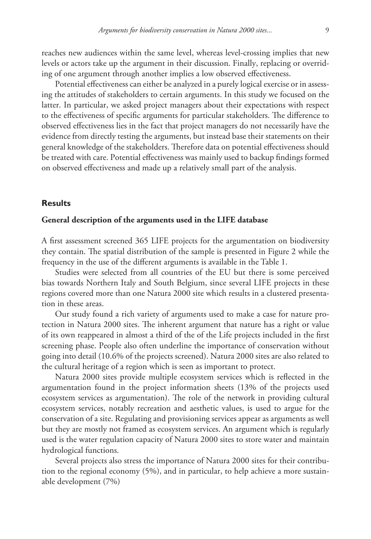reaches new audiences within the same level, whereas level-crossing implies that new levels or actors take up the argument in their discussion. Finally, replacing or overriding of one argument through another implies a low observed effectiveness.

Potential effectiveness can either be analyzed in a purely logical exercise or in assessing the attitudes of stakeholders to certain arguments. In this study we focused on the latter. In particular, we asked project managers about their expectations with respect to the effectiveness of specific arguments for particular stakeholders. The difference to observed effectiveness lies in the fact that project managers do not necessarily have the evidence from directly testing the arguments, but instead base their statements on their general knowledge of the stakeholders. Therefore data on potential effectiveness should be treated with care. Potential effectiveness was mainly used to backup findings formed on observed effectiveness and made up a relatively small part of the analysis.

## **Results**

#### **General description of the arguments used in the LIFE database**

A first assessment screened 365 LIFE projects for the argumentation on biodiversity they contain. The spatial distribution of the sample is presented in Figure 2 while the frequency in the use of the different arguments is available in the Table 1.

Studies were selected from all countries of the EU but there is some perceived bias towards Northern Italy and South Belgium, since several LIFE projects in these regions covered more than one Natura 2000 site which results in a clustered presentation in these areas.

Our study found a rich variety of arguments used to make a case for nature protection in Natura 2000 sites. The inherent argument that nature has a right or value of its own reappeared in almost a third of the of the Life projects included in the first screening phase. People also often underline the importance of conservation without going into detail (10.6% of the projects screened). Natura 2000 sites are also related to the cultural heritage of a region which is seen as important to protect.

Natura 2000 sites provide multiple ecosystem services which is reflected in the argumentation found in the project information sheets (13% of the projects used ecosystem services as argumentation). The role of the network in providing cultural ecosystem services, notably recreation and aesthetic values, is used to argue for the conservation of a site. Regulating and provisioning services appear as arguments as well but they are mostly not framed as ecosystem services. An argument which is regularly used is the water regulation capacity of Natura 2000 sites to store water and maintain hydrological functions.

Several projects also stress the importance of Natura 2000 sites for their contribution to the regional economy (5%), and in particular, to help achieve a more sustainable development (7%)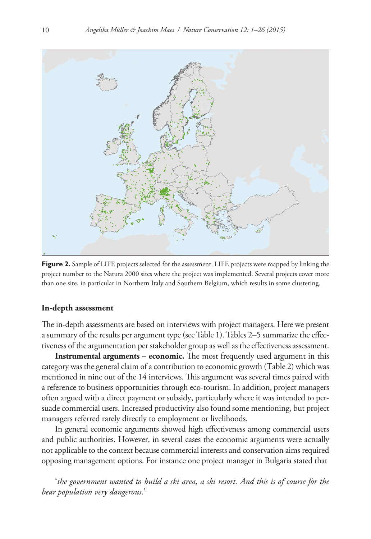

**Figure 2.** Sample of LIFE projects selected for the assessment. LIFE projects were mapped by linking the project number to the Natura 2000 sites where the project was implemented. Several projects cover more than one site, in particular in Northern Italy and Southern Belgium, which results in some clustering.

#### **In-depth assessment**

The in-depth assessments are based on interviews with project managers. Here we present a summary of the results per argument type (see Table 1). Tables 2–5 summarize the effectiveness of the argumentation per stakeholder group as well as the effectiveness assessment.

**Instrumental arguments – economic.** The most frequently used argument in this category was the general claim of a contribution to economic growth (Table 2) which was mentioned in nine out of the 14 interviews. This argument was several times paired with a reference to business opportunities through eco-tourism. In addition, project managers often argued with a direct payment or subsidy, particularly where it was intended to persuade commercial users. Increased productivity also found some mentioning, but project managers referred rarely directly to employment or livelihoods.

In general economic arguments showed high effectiveness among commercial users and public authorities. However, in several cases the economic arguments were actually not applicable to the context because commercial interests and conservation aims required opposing management options. For instance one project manager in Bulgaria stated that

'*the government wanted to build a ski area, a ski resort. And this is of course for the bear population very dangerous*.'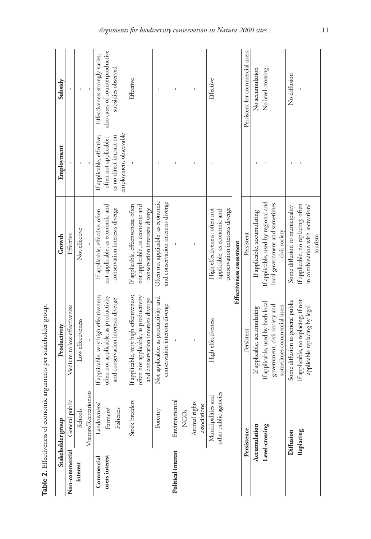|                    | Stakeholder group       | Productivity                                                         | Growth                                                                | Employment                                      | Subsidy                         |
|--------------------|-------------------------|----------------------------------------------------------------------|-----------------------------------------------------------------------|-------------------------------------------------|---------------------------------|
| Non-commercial     | General public          | Medium to low effectiveness                                          | Effective                                                             |                                                 |                                 |
| interest           | Schools                 | Low effectiveness                                                    | Not effective                                                         |                                                 | f,                              |
|                    | Visitors/Recreationists |                                                                      |                                                                       |                                                 |                                 |
| Commercial         | Landowners              | If applicable, very high effectiveness;                              | If applicable, effective; often                                       | If applicable, effective;                       | Effectiveness strongly varies;  |
| users interest     | Farmers/                | often not applicable, as productivity                                | not applicable, as economic and                                       | often not applicable,                           | also cases of counterproductive |
|                    | Fisheries               | and conservation interests diverge                                   | conservation interests diverge                                        | employment observable<br>as no direct impact on | subsidies observed              |
|                    | Stock breeders          | If applicable, very high effectiveness;                              | If applicable, effectiveness; often                                   |                                                 | Effective                       |
|                    |                         | often not applicable, as productivity                                | not applicable, as economic and                                       |                                                 |                                 |
|                    |                         | and conservation interests diverge                                   | conservation interests diverge                                        |                                                 |                                 |
|                    | Forestry                | Not applicable, as productivity and                                  | Often not applicable, as economic                                     | ı                                               |                                 |
|                    |                         | conservation interests diverge                                       | and conservation interests diverge                                    |                                                 |                                 |
| Political interest | Environmental           |                                                                      |                                                                       | $\mathbf{I}$                                    | f,                              |
|                    | <b>NGOs</b>             |                                                                      |                                                                       |                                                 |                                 |
|                    | Animal rights           | $\mathbf{I}$                                                         |                                                                       | $\mathbf{I}$                                    | $\mathfrak l$                   |
|                    | associations            |                                                                      |                                                                       |                                                 |                                 |
|                    | Municipalities and      | High effectiveness                                                   | High effectiveness; often not                                         |                                                 | Effective                       |
|                    | other public agencies   |                                                                      | conservation interests diverge<br>applicable, as economic and         |                                                 |                                 |
|                    |                         |                                                                      | Effectiveness assessment                                              |                                                 |                                 |
|                    | Persistence             | Persistent                                                           | Persistent                                                            |                                                 | Persistent for commercial users |
|                    | Accumulation            | If applicable, accumulating                                          | If applicable, accumulating                                           |                                                 | No accumulation                 |
|                    | Level-crossing          | If applicable, used by both local                                    | If applicable, used by regional and                                   |                                                 | No level-crossing               |
|                    |                         | government, civil society and                                        | local government and sometimes                                        |                                                 |                                 |
|                    |                         | sometimes commercial users                                           | civil society                                                         |                                                 |                                 |
|                    | Diffusion               | Some diffusion to general public                                     | Some diffusion to municipality                                        |                                                 | No diffusion                    |
|                    | Replacing               | If applicable, no replacing; if not<br>applicable replacing by legal | If applicable, no replacing; often<br>in combination with recreation/ |                                                 |                                 |
|                    |                         |                                                                      | tourism                                                               |                                                 |                                 |
|                    |                         |                                                                      |                                                                       |                                                 |                                 |

Table 2. Effectiveness of economic arguments per stakeholder group. **Table 2.** Effectiveness of economic arguments per stakeholder group.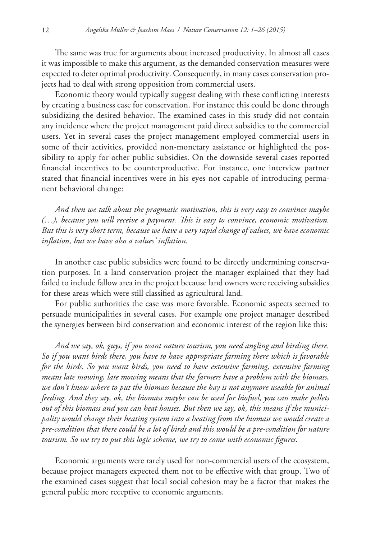The same was true for arguments about increased productivity. In almost all cases it was impossible to make this argument, as the demanded conservation measures were expected to deter optimal productivity. Consequently, in many cases conservation projects had to deal with strong opposition from commercial users.

Economic theory would typically suggest dealing with these conflicting interests by creating a business case for conservation. For instance this could be done through subsidizing the desired behavior. The examined cases in this study did not contain any incidence where the project management paid direct subsidies to the commercial users. Yet in several cases the project management employed commercial users in some of their activities, provided non-monetary assistance or highlighted the possibility to apply for other public subsidies. On the downside several cases reported financial incentives to be counterproductive. For instance, one interview partner stated that financial incentives were in his eyes not capable of introducing permanent behavioral change:

*And then we talk about the pragmatic motivation, this is very easy to convince maybe (…), because you will receive a payment. This is easy to convince, economic motivation. But this is very short term, because we have a very rapid change of values, we have economic inflation, but we have also a values' inflation.*

In another case public subsidies were found to be directly undermining conservation purposes. In a land conservation project the manager explained that they had failed to include fallow area in the project because land owners were receiving subsidies for these areas which were still classified as agricultural land.

For public authorities the case was more favorable. Economic aspects seemed to persuade municipalities in several cases. For example one project manager described the synergies between bird conservation and economic interest of the region like this:

*And we say, ok, guys, if you want nature tourism, you need angling and birding there. So if you want birds there, you have to have appropriate farming there which is favorable for the birds. So you want birds, you need to have extensive farming, extensive farming means late mowing, late mowing means that the farmers have a problem with the biomass, we don't know where to put the biomass because the hay is not anymore useable for animal feeding. And they say, ok, the biomass maybe can be used for biofuel, you can make pellets out of this biomass and you can heat houses. But then we say, ok, this means if the municipality would change their heating system into a heating from the biomass we would create a pre-condition that there could be a lot of birds and this would be a pre-condition for nature tourism. So we try to put this logic scheme, we try to come with economic figures.*

Economic arguments were rarely used for non-commercial users of the ecosystem, because project managers expected them not to be effective with that group. Two of the examined cases suggest that local social cohesion may be a factor that makes the general public more receptive to economic arguments.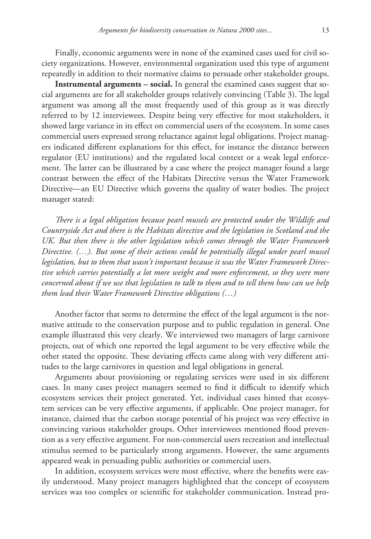Finally, economic arguments were in none of the examined cases used for civil society organizations. However, environmental organization used this type of argument repeatedly in addition to their normative claims to persuade other stakeholder groups.

**Instrumental arguments – social.** In general the examined cases suggest that social arguments are for all stakeholder groups relatively convincing (Table 3). The legal argument was among all the most frequently used of this group as it was directly referred to by 12 interviewees. Despite being very effective for most stakeholders, it showed large variance in its effect on commercial users of the ecosystem. In some cases commercial users expressed strong reluctance against legal obligations. Project managers indicated different explanations for this effect, for instance the distance between regulator (EU institutions) and the regulated local context or a weak legal enforcement. The latter can be illustrated by a case where the project manager found a large contrast between the effect of the Habitats Directive versus the Water Framework Directive—an EU Directive which governs the quality of water bodies. The project manager stated:

*There is a legal obligation because pearl mussels are protected under the Wildlife and Countryside Act and there is the Habitats directive and the legislation in Scotland and the UK. But then there is the other legislation which comes through the Water Framework Directive. (…). But some of their actions could be potentially illegal under pearl mussel legislation, but to them that wasn't important because it was the Water Framework Directive which carries potentially a lot more weight and more enforcement, so they were more concerned about if we use that legislation to talk to them and to tell them how can we help them lead their Water Framework Directive obligations (…)*

Another factor that seems to determine the effect of the legal argument is the normative attitude to the conservation purpose and to public regulation in general. One example illustrated this very clearly. We interviewed two managers of large carnivore projects, out of which one reported the legal argument to be very effective while the other stated the opposite. These deviating effects came along with very different attitudes to the large carnivores in question and legal obligations in general.

Arguments about provisioning or regulating services were used in six different cases. In many cases project managers seemed to find it difficult to identify which ecosystem services their project generated. Yet, individual cases hinted that ecosystem services can be very effective arguments, if applicable. One project manager, for instance, claimed that the carbon storage potential of his project was very effective in convincing various stakeholder groups. Other interviewees mentioned flood prevention as a very effective argument. For non-commercial users recreation and intellectual stimulus seemed to be particularly strong arguments. However, the same arguments appeared weak in persuading public authorities or commercial users.

In addition, ecosystem services were most effective, where the benefits were easily understood. Many project managers highlighted that the concept of ecosystem services was too complex or scientific for stakeholder communication. Instead pro-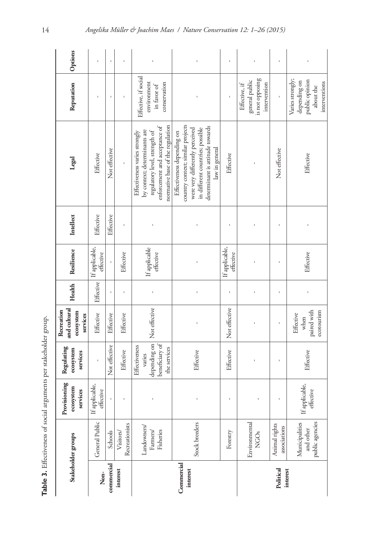|                                                                   | Reputation                                          |                             |               | $\mathbf{I}$                | Effective, if social<br>environment<br>conservation<br>in favor of                                                                                                  | f,                                                                                                                                                                                          | ı                           | is not opposing<br>general public<br>intervention<br>Effective, if | $\mathbf{I}$                  | Varies strongly;<br>public opinion<br>depending on<br>interventions<br>about the |
|-------------------------------------------------------------------|-----------------------------------------------------|-----------------------------|---------------|-----------------------------|---------------------------------------------------------------------------------------------------------------------------------------------------------------------|---------------------------------------------------------------------------------------------------------------------------------------------------------------------------------------------|-----------------------------|--------------------------------------------------------------------|-------------------------------|----------------------------------------------------------------------------------|
|                                                                   | Legal                                               | Effective                   | Not effective | $\mathbf{I}$                | normative base of the regulation<br>enforcement and acceptance of<br>by context; determinants are<br>regulatory level, strength of<br>Effectiveness varies strongly | country context; similar projects<br>determinant is attitude towards<br>were very differently perceived<br>in different countries; possible<br>Effectiveness depending on<br>law in general | <b>Effective</b>            |                                                                    | Not effective                 | <b>Effective</b>                                                                 |
|                                                                   | Intellect                                           | Effective                   | Effective     | $\mathbf{I}$                |                                                                                                                                                                     | J,                                                                                                                                                                                          | $\mathbf{I}$                |                                                                    | f,                            |                                                                                  |
|                                                                   | Resilience                                          | If applicable,<br>effective |               | Effective                   | If applicable<br>effective                                                                                                                                          |                                                                                                                                                                                             | If applicable,<br>effective |                                                                    |                               | Effective                                                                        |
|                                                                   | Health                                              | Effective                   | $\mathfrak l$ | $\mathfrak l$               | $\mathfrak l$                                                                                                                                                       | $\mathbf{I}$                                                                                                                                                                                | $\mathbf{I}$                |                                                                    | ı                             | $\mathbf{I}$                                                                     |
|                                                                   | and cultural<br>Recreation<br>ecosystem<br>services | Effective                   | Effective     | Effective                   | Not effective                                                                                                                                                       | $\mathbf{I}$                                                                                                                                                                                | Not effective               |                                                                    | Î.                            | paired with<br>ecotourism<br>Effective<br>when                                   |
|                                                                   | Regulating<br>ecosystem<br>services                 | $\bar{1}$                   | Not effective | Effective                   | depending on<br>beneficiary of<br>Effectiveness<br>the services<br>varies                                                                                           | Effective                                                                                                                                                                                   | Effective                   |                                                                    | $\mathbf{I}$                  | Effective                                                                        |
|                                                                   | Provisioning<br>ecosystem<br>services               | If applicable,<br>effective | $\mathbf{I}$  | $\mathbf{I}$                | ı                                                                                                                                                                   | ı                                                                                                                                                                                           | 1                           | $\mathbf{I}$                                                       | I,                            | If applicable,<br>effective                                                      |
| Table 3. Effectiveness of social arguments per stakeholder group. | Stakeholder groups                                  | General Public              | Schools       | Recreationists<br>Visitors/ | Landowners<br>Fisheries<br>Farmers                                                                                                                                  | Stock breeders                                                                                                                                                                              | Forestry                    | Environmental<br>NGO <sub>s</sub>                                  | Animal rights<br>associations | public agencies<br>Municipalities<br>and other                                   |
|                                                                   |                                                     | Non-                        | commercial    | interest                    |                                                                                                                                                                     | Commercial<br>interest                                                                                                                                                                      |                             |                                                                    | Political<br>interest         |                                                                                  |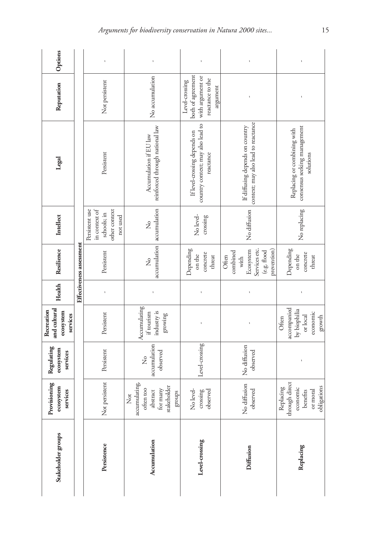| Stakeholder groups | Provisioning<br>ecosystem                                                          | Regulating<br>ecosystem       | and cultural<br>Recreation                                             | Health       | Resilience                                                                            | Intellect                                                                   | Legal                                                                          | Reputation                                                                              | Options      |
|--------------------|------------------------------------------------------------------------------------|-------------------------------|------------------------------------------------------------------------|--------------|---------------------------------------------------------------------------------------|-----------------------------------------------------------------------------|--------------------------------------------------------------------------------|-----------------------------------------------------------------------------------------|--------------|
|                    | services                                                                           | services                      | ecosystem<br>services                                                  |              |                                                                                       |                                                                             |                                                                                |                                                                                         |              |
|                    |                                                                                    |                               |                                                                        |              | Effectiveness assessment                                                              |                                                                             |                                                                                |                                                                                         |              |
| Persistence        | Not persistent                                                                     | Persistent                    | Persistent                                                             | $\mathbf i$  | Persistent                                                                            | in context of<br>other context<br>Persistent use<br>schools; in<br>not used | Persistent                                                                     | Not persistent                                                                          | $\mathbf{I}$ |
| Accumulation       | accumulating,<br>stakeholder<br>often too<br>for many<br>abstract<br>groups<br>Not | accumulation<br>observed<br>ż | Accumulating<br>industry is<br>if tourism<br>growing                   | ï            | ż                                                                                     | accumulation accumulation<br>$\frac{1}{2}$                                  | reinforced through national law<br>Accumulation if EU law                      | No accumulation                                                                         | $\mathbf{I}$ |
| Level-crossing     | No level-<br>crossing<br>observed                                                  | Level-crossing                |                                                                        | $\mathbf{I}$ | Depending<br>concrete<br>on the<br>threat                                             | No level-<br>crossing                                                       | country context; may also lead to<br>If level-crossing depends on<br>reactance | both of agreement<br>with argument or<br>reactance to the<br>Level-crossing<br>argument | $\mathbf{I}$ |
| Diffusion          | No diffusion<br>observed                                                           | No diffusion<br>observed      |                                                                        |              | Services etc.<br>prevention)<br>Ecosystem<br>(e.g. flood<br>combined<br>Often<br>with | No diffusion                                                                | context; may also lead to reactance<br>If diffusing depends on country         | 1                                                                                       | $\mathbf{I}$ |
| Replacing          | through direct<br>obligations<br>Replacing<br>economic<br>benefits<br>or moral     |                               | accompanied<br>by biophilia<br>economic<br>or local<br>Often<br>growth |              | Depending<br>concrete<br>on the<br>threat                                             | No replacing                                                                | consensus seeking management<br>Replacing or combining with<br>solutions       |                                                                                         | ı            |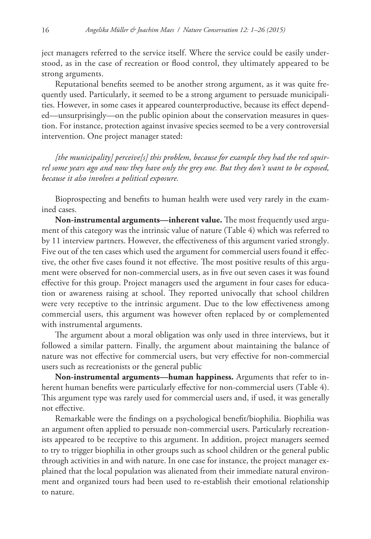ject managers referred to the service itself. Where the service could be easily understood, as in the case of recreation or flood control, they ultimately appeared to be strong arguments.

Reputational benefits seemed to be another strong argument, as it was quite frequently used. Particularly, it seemed to be a strong argument to persuade municipalities. However, in some cases it appeared counterproductive, because its effect depended—unsurprisingly—on the public opinion about the conservation measures in question. For instance, protection against invasive species seemed to be a very controversial intervention. One project manager stated:

*[the municipality] perceive[s] this problem, because for example they had the red squirrel some years ago and now they have only the grey one. But they don't want to be exposed, because it also involves a political exposure.*

Bioprospecting and benefits to human health were used very rarely in the examined cases.

**Non-instrumental arguments—inherent value.** The most frequently used argument of this category was the intrinsic value of nature (Table 4) which was referred to by 11 interview partners. However, the effectiveness of this argument varied strongly. Five out of the ten cases which used the argument for commercial users found it effective, the other five cases found it not effective. The most positive results of this argument were observed for non-commercial users, as in five out seven cases it was found effective for this group. Project managers used the argument in four cases for education or awareness raising at school. They reported univocally that school children were very receptive to the intrinsic argument. Due to the low effectiveness among commercial users, this argument was however often replaced by or complemented with instrumental arguments.

The argument about a moral obligation was only used in three interviews, but it followed a similar pattern. Finally, the argument about maintaining the balance of nature was not effective for commercial users, but very effective for non-commercial users such as recreationists or the general public

**Non-instrumental arguments—human happiness.** Arguments that refer to inherent human benefits were particularly effective for non-commercial users (Table 4). This argument type was rarely used for commercial users and, if used, it was generally not effective.

Remarkable were the findings on a psychological benefit/biophilia. Biophilia was an argument often applied to persuade non-commercial users. Particularly recreationists appeared to be receptive to this argument. In addition, project managers seemed to try to trigger biophilia in other groups such as school children or the general public through activities in and with nature. In one case for instance, the project manager explained that the local population was alienated from their immediate natural environment and organized tours had been used to re-establish their emotional relationship to nature.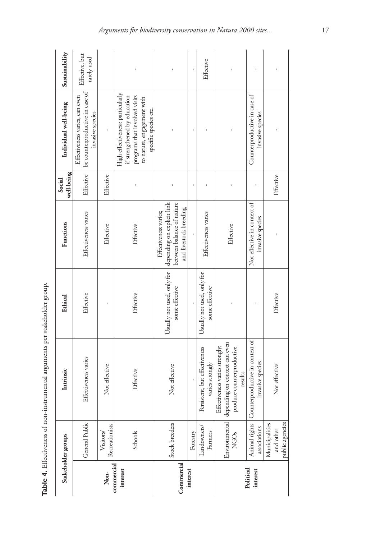|                        | Stakeholder groups                             | Intrinsic                                                                                                               | Ethical                                      | Functions                                                                                                  | well-being<br>Social | Individual well-being                                                                                                                                    | Sustainability                |
|------------------------|------------------------------------------------|-------------------------------------------------------------------------------------------------------------------------|----------------------------------------------|------------------------------------------------------------------------------------------------------------|----------------------|----------------------------------------------------------------------------------------------------------------------------------------------------------|-------------------------------|
|                        | General Public                                 | Effectiveness varies                                                                                                    | <b>Effective</b>                             | Effectiveness varies                                                                                       | Effective            | be counterproductive in case of<br>Effectiveness varies, can even<br>invasive species                                                                    | Effective, but<br>rarely used |
| Non-                   | Recreationists<br>Visitors                     | Not effective                                                                                                           |                                              | Effective                                                                                                  | Effective            |                                                                                                                                                          |                               |
| commercial<br>interest | Schools                                        | Effective                                                                                                               | Effective                                    | Effective                                                                                                  |                      | High effectiveness; particularly<br>programs that involved visits<br>if strengthened by education<br>to nature, engagement with<br>specific species etc. |                               |
| Commercial             | Stock breeders                                 | Not effective                                                                                                           | Usually not used, only for<br>some effective | depending on explicit link<br>between balance of nature<br>and livestock breeding<br>Effectiveness varies; |                      |                                                                                                                                                          |                               |
| interest               | Forestry                                       |                                                                                                                         |                                              |                                                                                                            |                      |                                                                                                                                                          |                               |
|                        | Landowners/<br>Farmers                         | Persistent, but effectiveness<br>varies strongly                                                                        | Usually not used, only for<br>some effective | Effectiveness varies                                                                                       |                      |                                                                                                                                                          | Effective                     |
|                        | NGO <sub>s</sub>                               | Environmental   depending on context can even<br>Effectiveness varies strongly;<br>produce counterproductive<br>results |                                              | Effective                                                                                                  |                      |                                                                                                                                                          |                               |
| Political<br>interest  | associations                                   | Animal rights   Counterproductive in context of<br>invasive species                                                     |                                              | Not effective in context of<br>invasive species                                                            |                      | Counterproductive in case of<br>invasive species                                                                                                         |                               |
|                        | public agencies<br>Municipalities<br>and other | Not effective                                                                                                           | <b>Effective</b>                             |                                                                                                            | Effective            |                                                                                                                                                          |                               |

Table 4. Effectiveness of non-instrumental arguments per stakeholder group. **Table 4.** Effectiveness of non-instrumental arguments per stakeholder group.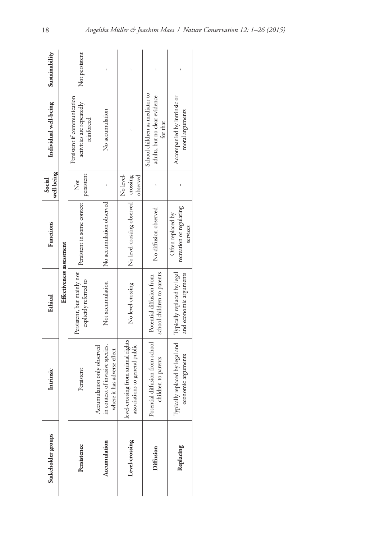| Stakeholder groups | Intrinsic                                                                                    | Ethical                                                | Functions                                                 | well-being<br>Social              | Individual well-being                                                       | Sustainability |
|--------------------|----------------------------------------------------------------------------------------------|--------------------------------------------------------|-----------------------------------------------------------|-----------------------------------|-----------------------------------------------------------------------------|----------------|
|                    |                                                                                              | Effectiveness assessment                               |                                                           |                                   |                                                                             |                |
| Persistence        | Persistent                                                                                   | Persistent, but mainly not<br>explicitly referred to   | Persistent in some context                                | persistent<br>Not                 | Persistent if communication<br>activities are repeatedly<br>reinforced      | Not persistent |
| Accumulation       | in context of invasive species,<br>Accumulation only observed<br>where it has adverse effect | Not accumulation                                       | No accumulation observed                                  |                                   | No accumulation                                                             |                |
| Level-crossing     | level-crossing from animal rights<br>associations to general public                          | No level-crossing                                      | No level-crossing observed                                | No level-<br>crossing<br>observed |                                                                             |                |
| Diffusion          | Potential diffusion from school<br>children to parents                                       | school children to parents<br>Potential diffusion from | No diffusion observed                                     |                                   | School children as mediator to<br>adults, but no clear evidence<br>for that |                |
| Replacing          | Typically replaced by legal and<br>economic arguments                                        | and economic arguments<br>Typically replaced by legal  | recreation or regulating<br>Often replaced by<br>services |                                   | Accompanied by intrinsic or<br>moral arguments                              |                |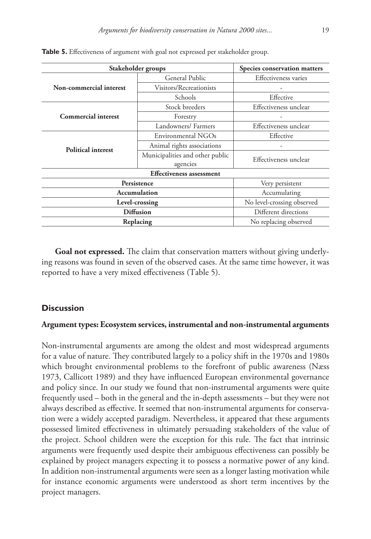|                           | Stakeholder groups                          | Species conservation matters |
|---------------------------|---------------------------------------------|------------------------------|
|                           | <b>General Public</b>                       | Effectiveness varies         |
| Non-commercial interest   | Visitors/Recreationists                     |                              |
|                           | Schools                                     | Effective                    |
|                           | Stock breeders                              | Effectiveness unclear        |
| Commercial interest       |                                             |                              |
|                           | Effectiveness unclear                       |                              |
|                           | Environmental NGOs                          | Effective                    |
| <b>Political interest</b> | Animal rights associations                  |                              |
|                           | Municipalities and other public<br>agencies | Effectiveness unclear        |
|                           |                                             |                              |
| Persistence               | Very persistent                             |                              |
| <b>Accumulation</b>       | Accumulating                                |                              |
|                           | Level-crossing                              | No level-crossing observed   |
|                           | <b>Diffusion</b>                            | Different directions         |
|                           | Replacing                                   | No replacing observed        |

**Table 5.** Effectiveness of argument with goal not expressed per stakeholder group.

**Goal not expressed.** The claim that conservation matters without giving underlying reasons was found in seven of the observed cases. At the same time however, it was reported to have a very mixed effectiveness (Table 5).

# **Discussion**

# **Argument types: Ecosystem services, instrumental and non-instrumental arguments**

Non-instrumental arguments are among the oldest and most widespread arguments for a value of nature. They contributed largely to a policy shift in the 1970s and 1980s which brought environmental problems to the forefront of public awareness (Næss 1973, Callicott 1989) and they have influenced European environmental governance and policy since. In our study we found that non-instrumental arguments were quite frequently used – both in the general and the in-depth assessments – but they were not always described as effective. It seemed that non-instrumental arguments for conservation were a widely accepted paradigm. Nevertheless, it appeared that these arguments possessed limited effectiveness in ultimately persuading stakeholders of the value of the project. School children were the exception for this rule. The fact that intrinsic arguments were frequently used despite their ambiguous effectiveness can possibly be explained by project managers expecting it to possess a normative power of any kind. In addition non-instrumental arguments were seen as a longer lasting motivation while for instance economic arguments were understood as short term incentives by the project managers.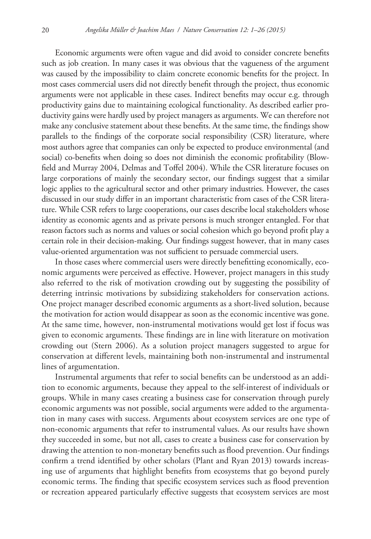Economic arguments were often vague and did avoid to consider concrete benefits such as job creation. In many cases it was obvious that the vagueness of the argument was caused by the impossibility to claim concrete economic benefits for the project. In most cases commercial users did not directly benefit through the project, thus economic arguments were not applicable in these cases. Indirect benefits may occur e.g. through productivity gains due to maintaining ecological functionality. As described earlier productivity gains were hardly used by project managers as arguments. We can therefore not make any conclusive statement about these benefits. At the same time, the findings show parallels to the findings of the corporate social responsibility (CSR) literature, where most authors agree that companies can only be expected to produce environmental (and social) co-benefits when doing so does not diminish the economic profitability (Blowfield and Murray 2004, Delmas and Toffel 2004). While the CSR literature focuses on large corporations of mainly the secondary sector, our findings suggest that a similar logic applies to the agricultural sector and other primary industries. However, the cases discussed in our study differ in an important characteristic from cases of the CSR literature. While CSR refers to large cooperations, our cases describe local stakeholders whose identity as economic agents and as private persons is much stronger entangled. For that reason factors such as norms and values or social cohesion which go beyond profit play a certain role in their decision-making. Our findings suggest however, that in many cases value-oriented argumentation was not sufficient to persuade commercial users.

In those cases where commercial users were directly benefitting economically, economic arguments were perceived as effective. However, project managers in this study also referred to the risk of motivation crowding out by suggesting the possibility of deterring intrinsic motivations by subsidizing stakeholders for conservation actions. One project manager described economic arguments as a short-lived solution, because the motivation for action would disappear as soon as the economic incentive was gone. At the same time, however, non-instrumental motivations would get lost if focus was given to economic arguments. These findings are in line with literature on motivation crowding out (Stern 2006). As a solution project managers suggested to argue for conservation at different levels, maintaining both non-instrumental and instrumental lines of argumentation.

Instrumental arguments that refer to social benefits can be understood as an addition to economic arguments, because they appeal to the self-interest of individuals or groups. While in many cases creating a business case for conservation through purely economic arguments was not possible, social arguments were added to the argumentation in many cases with success. Arguments about ecosystem services are one type of non-economic arguments that refer to instrumental values. As our results have shown they succeeded in some, but not all, cases to create a business case for conservation by drawing the attention to non-monetary benefits such as flood prevention. Our findings confirm a trend identified by other scholars (Plant and Ryan 2013) towards increasing use of arguments that highlight benefits from ecosystems that go beyond purely economic terms. The finding that specific ecosystem services such as flood prevention or recreation appeared particularly effective suggests that ecosystem services are most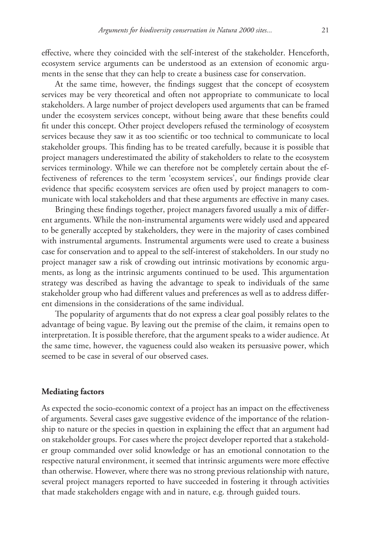effective, where they coincided with the self-interest of the stakeholder. Henceforth, ecosystem service arguments can be understood as an extension of economic arguments in the sense that they can help to create a business case for conservation.

At the same time, however, the findings suggest that the concept of ecosystem services may be very theoretical and often not appropriate to communicate to local stakeholders. A large number of project developers used arguments that can be framed under the ecosystem services concept, without being aware that these benefits could fit under this concept. Other project developers refused the terminology of ecosystem services because they saw it as too scientific or too technical to communicate to local stakeholder groups. This finding has to be treated carefully, because it is possible that project managers underestimated the ability of stakeholders to relate to the ecosystem services terminology. While we can therefore not be completely certain about the effectiveness of references to the term 'ecosystem services', our findings provide clear evidence that specific ecosystem services are often used by project managers to communicate with local stakeholders and that these arguments are effective in many cases.

Bringing these findings together, project managers favored usually a mix of different arguments. While the non-instrumental arguments were widely used and appeared to be generally accepted by stakeholders, they were in the majority of cases combined with instrumental arguments. Instrumental arguments were used to create a business case for conservation and to appeal to the self-interest of stakeholders. In our study no project manager saw a risk of crowding out intrinsic motivations by economic arguments, as long as the intrinsic arguments continued to be used. This argumentation strategy was described as having the advantage to speak to individuals of the same stakeholder group who had different values and preferences as well as to address different dimensions in the considerations of the same individual.

The popularity of arguments that do not express a clear goal possibly relates to the advantage of being vague. By leaving out the premise of the claim, it remains open to interpretation. It is possible therefore, that the argument speaks to a wider audience. At the same time, however, the vagueness could also weaken its persuasive power, which seemed to be case in several of our observed cases.

## **Mediating factors**

As expected the socio-economic context of a project has an impact on the effectiveness of arguments. Several cases gave suggestive evidence of the importance of the relationship to nature or the species in question in explaining the effect that an argument had on stakeholder groups. For cases where the project developer reported that a stakeholder group commanded over solid knowledge or has an emotional connotation to the respective natural environment, it seemed that intrinsic arguments were more effective than otherwise. However, where there was no strong previous relationship with nature, several project managers reported to have succeeded in fostering it through activities that made stakeholders engage with and in nature, e.g. through guided tours.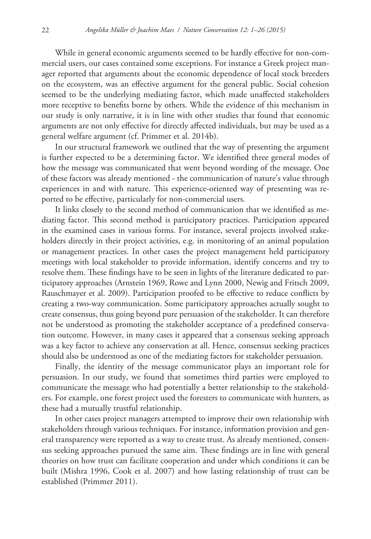While in general economic arguments seemed to be hardly effective for non-commercial users, our cases contained some exceptions. For instance a Greek project manager reported that arguments about the economic dependence of local stock breeders on the ecosystem, was an effective argument for the general public. Social cohesion seemed to be the underlying mediating factor, which made unaffected stakeholders more receptive to benefits borne by others. While the evidence of this mechanism in our study is only narrative, it is in line with other studies that found that economic arguments are not only effective for directly affected individuals, but may be used as a general welfare argument (cf. Primmer et al. 2014b).

In our structural framework we outlined that the way of presenting the argument is further expected to be a determining factor. We identified three general modes of how the message was communicated that went beyond wording of the message. One of these factors was already mentioned - the communication of nature's value through experiences in and with nature. This experience-oriented way of presenting was reported to be effective, particularly for non-commercial users.

It links closely to the second method of communication that we identified as mediating factor. This second method is participatory practices. Participation appeared in the examined cases in various forms. For instance, several projects involved stakeholders directly in their project activities, e.g. in monitoring of an animal population or management practices. In other cases the project management held participatory meetings with local stakeholder to provide information, identify concerns and try to resolve them. These findings have to be seen in lights of the literature dedicated to participatory approaches (Arnstein 1969, Rowe and Lynn 2000, Newig and Fritsch 2009, Rauschmayer et al. 2009). Participation proofed to be effective to reduce conflicts by creating a two-way communication. Some participatory approaches actually sought to create consensus, thus going beyond pure persuasion of the stakeholder. It can therefore not be understood as promoting the stakeholder acceptance of a predefined conservation outcome. However, in many cases it appeared that a consensus seeking approach was a key factor to achieve any conservation at all. Hence, consensus seeking practices should also be understood as one of the mediating factors for stakeholder persuasion.

Finally, the identity of the message communicator plays an important role for persuasion. In our study, we found that sometimes third parties were employed to communicate the message who had potentially a better relationship to the stakeholders. For example, one forest project used the foresters to communicate with hunters, as these had a mutually trustful relationship.

In other cases project managers attempted to improve their own relationship with stakeholders through various techniques. For instance, information provision and general transparency were reported as a way to create trust. As already mentioned, consensus seeking approaches pursued the same aim. These findings are in line with general theories on how trust can facilitate cooperation and under which conditions it can be built (Mishra 1996, Cook et al. 2007) and how lasting relationship of trust can be established (Primmer 2011).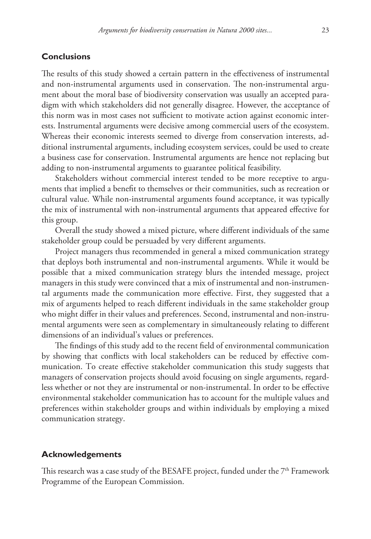## **Conclusions**

The results of this study showed a certain pattern in the effectiveness of instrumental and non-instrumental arguments used in conservation. The non-instrumental argument about the moral base of biodiversity conservation was usually an accepted paradigm with which stakeholders did not generally disagree. However, the acceptance of this norm was in most cases not sufficient to motivate action against economic interests. Instrumental arguments were decisive among commercial users of the ecosystem. Whereas their economic interests seemed to diverge from conservation interests, additional instrumental arguments, including ecosystem services, could be used to create a business case for conservation. Instrumental arguments are hence not replacing but adding to non-instrumental arguments to guarantee political feasibility.

Stakeholders without commercial interest tended to be more receptive to arguments that implied a benefit to themselves or their communities, such as recreation or cultural value. While non-instrumental arguments found acceptance, it was typically the mix of instrumental with non-instrumental arguments that appeared effective for this group.

Overall the study showed a mixed picture, where different individuals of the same stakeholder group could be persuaded by very different arguments.

Project managers thus recommended in general a mixed communication strategy that deploys both instrumental and non-instrumental arguments. While it would be possible that a mixed communication strategy blurs the intended message, project managers in this study were convinced that a mix of instrumental and non-instrumental arguments made the communication more effective. First, they suggested that a mix of arguments helped to reach different individuals in the same stakeholder group who might differ in their values and preferences. Second, instrumental and non-instrumental arguments were seen as complementary in simultaneously relating to different dimensions of an individual's values or preferences.

The findings of this study add to the recent field of environmental communication by showing that conflicts with local stakeholders can be reduced by effective communication. To create effective stakeholder communication this study suggests that managers of conservation projects should avoid focusing on single arguments, regardless whether or not they are instrumental or non-instrumental. In order to be effective environmental stakeholder communication has to account for the multiple values and preferences within stakeholder groups and within individuals by employing a mixed communication strategy.

## **Acknowledgements**

This research was a case study of the BESAFE project, funded under the  $7<sup>th</sup>$  Framework Programme of the European Commission.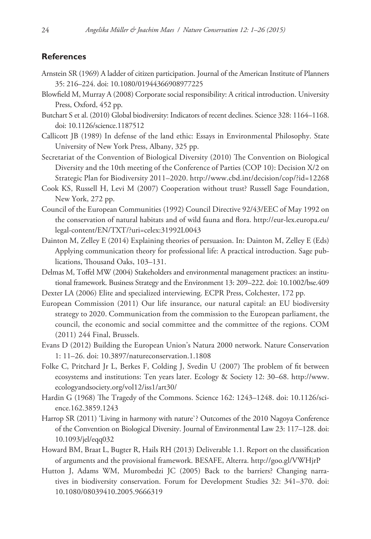# **References**

- Arnstein SR (1969) A ladder of citizen participation. Journal of the American Institute of Planners 35: 216–224. doi: [10.1080/01944366908977225](http://dx.doi.org/10.1080/01944366908977225)
- Blowfield M, Murray A (2008) Corporate social responsibility: A critical introduction. University Press, Oxford, 452 pp.
- Butchart S et al. (2010) Global biodiversity: Indicators of recent declines. Science 328: 1164–1168. [doi: 10.1126/science.1187512](http://dx.doi.org/10.1126/science.1187512)
- Callicott JB (1989) In defense of the land ethic: Essays in Environmental Philosophy. State University of New York Press, Albany, 325 pp.
- Secretariat of the Convention of Biological Diversity (2010) The Convention on Biological Diversity and the 10th meeting of the Conference of Parties (COP 10): Decision X/2 on Strategic Plan for Biodiversity 2011–2020. <http://www.cbd.int/decision/cop/?id=12268>
- Cook KS, Russell H, Levi M (2007) Cooperation without trust? Russell Sage Foundation, New York, 272 pp.
- Council of the European Communities (1992) Council Directive 92/43/EEC of May 1992 on the conservation of natural habitats and of wild fauna and flora. [http://eur-lex.europa.eu/](http://eur-lex.europa.eu/legal-content/EN/TXT/?uri=celex:31992L0043) [legal-content/EN/TXT/?uri=celex:31992L0043](http://eur-lex.europa.eu/legal-content/EN/TXT/?uri=celex:31992L0043)
- Dainton M, Zelley E (2014) Explaining theories of persuasion. In: Dainton M, Zelley E (Eds) Applying communication theory for professional life: A practical introduction. Sage publications, Thousand Oaks, 103–131.
- Delmas M, Toffel MW (2004) Stakeholders and environmental management practices: an institutional framework. Business Strategy and the Environment 13: 209–222. [doi: 10.1002/bse.409](http://dx.doi.org/10.1002/bse.409)
- Dexter LA (2006) Elite and specialized interviewing. ECPR Press, Colchester, 172 pp.
- European Commission (2011) Our life insurance, our natural capital: an EU biodiversity strategy to 2020. Communication from the commission to the European parliament, the council, the economic and social committee and the committee of the regions. COM (2011) 244 Final, Brussels.
- Evans D (2012) Building the European Union's Natura 2000 network. Nature Conservation 1: 11–26. [doi: 10.3897/natureconservation.1.1808](http://dx.doi.org/10.3897/natureconservation.1.1808)
- Folke C, Pritchard Jr L, Berkes F, Colding J, Svedin U (2007) The problem of fit between ecosystems and institutions: Ten years later. Ecology & Society 12: 30–68. [http://www.](http://www.ecologyandsociety.org/vol12/iss1/art30/) [ecologyandsociety.org/vol12/iss1/art30/](http://www.ecologyandsociety.org/vol12/iss1/art30/)
- Hardin G (1968) The Tragedy of the Commons. Science 162: 1243–1248. [doi: 10.1126/sci](http://dx.doi.org/10.1126/science.162.3859.1243)[ence.162.3859.1243](http://dx.doi.org/10.1126/science.162.3859.1243)
- Harrop SR (2011) 'Living in harmony with nature`? Outcomes of the 2010 Nagoya Conference of the Convention on Biological Diversity. Journal of Environmental Law 23: 117–128. [doi:](http://dx.doi.org/10.1093/jel/eqq032) [10.1093/jel/eqq032](http://dx.doi.org/10.1093/jel/eqq032)
- Howard BM, Braat L, Bugter R, Hails RH (2013) Deliverable 1.1. Report on the classification of arguments and the provisional framework. BESAFE, Alterra.<http://goo.gl/VWHjrP>
- Hutton J, Adams WM, Murombedzi JC (2005) Back to the barriers? Changing narratives in biodiversity conservation. Forum for Development Studies 32: 341–370. [doi:](http://dx.doi.org/10.1080/08039410.2005.9666319) [10.1080/08039410.2005.9666319](http://dx.doi.org/10.1080/08039410.2005.9666319)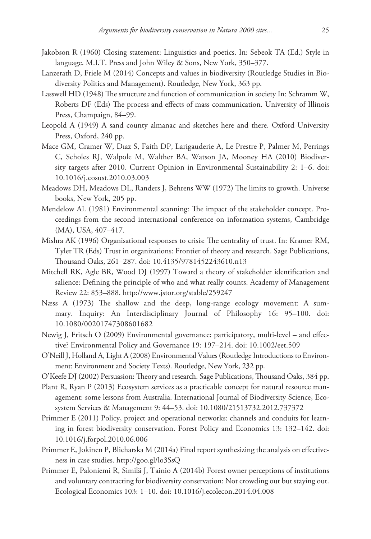- Jakobson R (1960) Closing statement: Linguistics and poetics. In: Sebeok TA (Ed.) Style in language. M.I.T. Press and John Wiley & Sons, New York, 350–377.
- Lanzerath D, Friele M (2014) Concepts and values in biodiversity (Routledge Studies in Biodiversity Politics and Management). Routledge, New York, 363 pp.
- Lasswell HD (1948) The structure and function of communication in society In: Schramm W, Roberts DF (Eds) The process and effects of mass communication. University of Illinois Press, Champaign, 84–99.
- Leopold A (1949) A sand county almanac and sketches here and there. Oxford University Press, Oxford, 240 pp.
- Mace GM, Cramer W, Dıaz S, Faith DP, Larigauderie A, Le Prestre P, Palmer M, Perrings C, Scholes RJ, Walpole M, Walther BA, Watson JA, Mooney HA (2010) Biodiversity targets after 2010. Current Opinion in Environmental Sustainability 2: 1–6. [doi:](http://dx.doi.org/10.1016/j.cosust.2010.03.003) [10.1016/j.cosust.2010.03.003](http://dx.doi.org/10.1016/j.cosust.2010.03.003)
- Meadows DH, Meadows DL, Randers J, Behrens WW (1972) The limits to growth. Universe books, New York, 205 pp.
- Mendelow AL (1981) Environmental scanning: The impact of the stakeholder concept. Proceedings from the second international conference on information systems, Cambridge (MA), USA, 407–417.
- Mishra AK (1996) Organisational responses to crisis: The centrality of trust. In: Kramer RM, Tyler TR (Eds) Trust in organizations: Frontier of theory and research. Sage Publications, Thousand Oaks, 261–287. [doi: 10.4135/9781452243610.n13](http://dx.doi.org/10.4135/9781452243610.n13)
- Mitchell RK, Agle BR, Wood DJ (1997) Toward a theory of stakeholder identification and salience: Defining the principle of who and what really counts. Academy of Management Review 22: 853–888. <http://www.jstor.org/stable/259247>
- Næss A (1973) The shallow and the deep, long-range ecology movement: A summary. Inquiry: An Interdisciplinary Journal of Philosophy 16: 95–100. [doi:](http://dx.doi.org/10.1080/00201747308601682) [10.1080/00201747308601682](http://dx.doi.org/10.1080/00201747308601682)
- Newig J, Fritsch O (2009) Environmental governance: participatory, multi-level and effective? Environmental Policy and Governance 19: 197–214. [doi: 10.1002/eet.509](http://dx.doi.org/10.1002/eet.509)
- O'Neill J, Holland A, Light A (2008) Environmental Values (Routledge Introductions to Environment: Environment and Society Texts). Routledge, New York, 232 pp.
- O'Keefe DJ (2002) Persuasion: Theory and research. Sage Publications, Thousand Oaks, 384 pp.
- Plant R, Ryan P (2013) Ecosystem services as a practicable concept for natural resource management: some lessons from Australia. International Journal of Biodiversity Science, Ecosystem Services & Management 9: 44–53. [doi: 10.1080/21513732.2012.737372](http://dx.doi.org/10.1080/21513732.2012.737372)
- Primmer E (2011) Policy, project and operational networks: channels and conduits for learning in forest biodiversity conservation. Forest Policy and Economics 13: 132–142. [doi:](http://dx.doi.org/10.1016/j.forpol.2010.06.006) [10.1016/j.forpol.2010.06.006](http://dx.doi.org/10.1016/j.forpol.2010.06.006)
- Primmer E, Jokinen P, Blicharska M (2014a) Final report synthesizing the analysis on effectiveness in case studies. <http://goo.gl/lo3SsQ>
- Primmer E, Paloniemi R, Similä J, Tainio A (2014b) Forest owner perceptions of institutions and voluntary contracting for biodiversity conservation: Not crowding out but staying out. Ecological Economics 103: 1–10. [doi: 10.1016/j.ecolecon.2014.04.008](http://dx.doi.org/10.1016/j.ecolecon.2014.04.008)